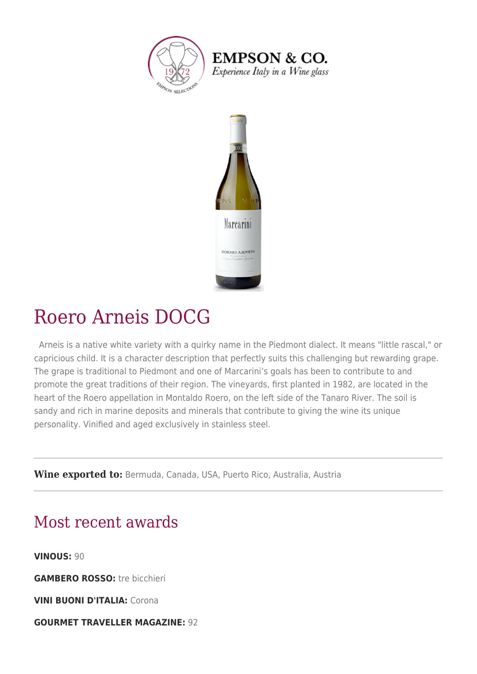

**EMPSON & CO.** Experience Italy in a Wine glass



## Roero Arneis DOCG

 Arneis is a native white variety with a quirky name in the Piedmont dialect. It means "little rascal," or capricious child. It is a character description that perfectly suits this challenging but rewarding grape. The grape is traditional to Piedmont and one of Marcarini's goals has been to contribute to and promote the great traditions of their region. The vineyards, first planted in 1982, are located in the heart of the Roero appellation in Montaldo Roero, on the left side of the Tanaro River. The soil is sandy and rich in marine deposits and minerals that contribute to giving the wine its unique personality. Vinified and aged exclusively in stainless steel.

**Wine exported to:** Bermuda, Canada, USA, Puerto Rico, Australia, Austria

## Most recent awards

**VINOUS:** 90

**GAMBERO ROSSO:** tre bicchieri

**VINI BUONI D'ITALIA:** Corona

**GOURMET TRAVELLER MAGAZINE:** 92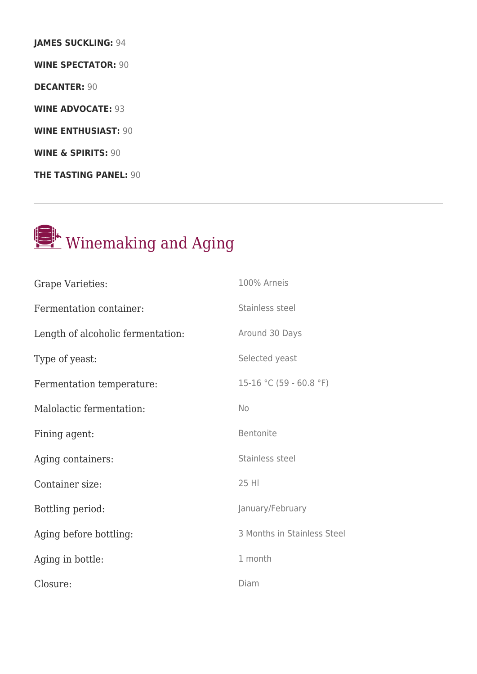**JAMES SUCKLING:** 94 **WINE SPECTATOR:** 90 **DECANTER:** 90 **WINE ADVOCATE:** 93 **WINE ENTHUSIAST:** 90 **WINE & SPIRITS:** 90 **THE TASTING PANEL:** 90



| <b>Grape Varieties:</b>           | 100% Arneis                 |
|-----------------------------------|-----------------------------|
| Fermentation container:           | Stainless steel             |
| Length of alcoholic fermentation: | Around 30 Days              |
| Type of yeast:                    | Selected yeast              |
| Fermentation temperature:         | 15-16 °C (59 - 60.8 °F)     |
| Malolactic fermentation:          | No                          |
| Fining agent:                     | Bentonite                   |
| Aging containers:                 | Stainless steel             |
| Container size:                   | 25 HI                       |
| Bottling period:                  | January/February            |
| Aging before bottling:            | 3 Months in Stainless Steel |
| Aging in bottle:                  | 1 month                     |
| Closure:                          | Diam                        |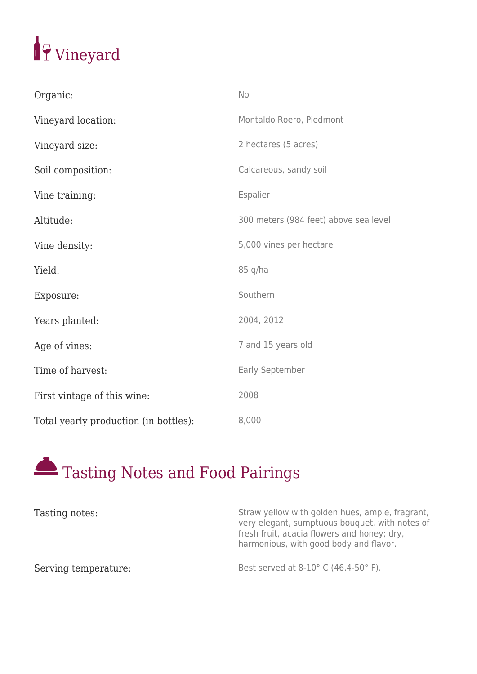

| Organic:                              | No                                    |
|---------------------------------------|---------------------------------------|
| Vineyard location:                    | Montaldo Roero, Piedmont              |
| Vineyard size:                        | 2 hectares (5 acres)                  |
| Soil composition:                     | Calcareous, sandy soil                |
| Vine training:                        | Espalier                              |
| Altitude:                             | 300 meters (984 feet) above sea level |
| Vine density:                         | 5,000 vines per hectare               |
| Yield:                                | 85 q/ha                               |
| Exposure:                             | Southern                              |
| Years planted:                        | 2004, 2012                            |
| Age of vines:                         | 7 and 15 years old                    |
| Time of harvest:                      | Early September                       |
| First vintage of this wine:           | 2008                                  |
| Total yearly production (in bottles): | 8,000                                 |



| Tasting notes:       | Straw yellow with golden hues, ample, fragrant,<br>very elegant, sumptuous bouquet, with notes of<br>fresh fruit, acacia flowers and honey; dry,<br>harmonious, with good body and flavor. |
|----------------------|--------------------------------------------------------------------------------------------------------------------------------------------------------------------------------------------|
| Serving temperature: | Best served at 8-10° C (46.4-50° F).                                                                                                                                                       |